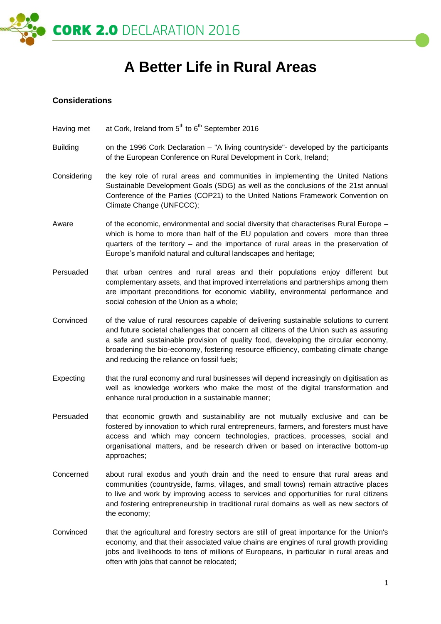

# **A Better Life in Rural Areas**

#### **Considerations**

- Having met at Cork, Ireland from  $5<sup>th</sup>$  to  $6<sup>th</sup>$  September 2016
- Building on the 1996 Cork Declaration "A living countryside"- developed by the participants of the European Conference on Rural Development in Cork, Ireland;
- Considering the key role of rural areas and communities in implementing the United Nations Sustainable Development Goals (SDG) as well as the conclusions of the 21st annual Conference of the Parties (COP21) to the United Nations Framework Convention on Climate Change (UNFCCC);
- Aware of the economic, environmental and social diversity that characterises Rural Europe which is home to more than half of the EU population and covers more than three quarters of the territory – and the importance of rural areas in the preservation of Europe's manifold natural and cultural landscapes and heritage;
- Persuaded that urban centres and rural areas and their populations enjoy different but complementary assets, and that improved interrelations and partnerships among them are important preconditions for economic viability, environmental performance and social cohesion of the Union as a whole;
- Convinced of the value of rural resources capable of delivering sustainable solutions to current and future societal challenges that concern all citizens of the Union such as assuring a safe and sustainable provision of quality food, developing the circular economy, broadening the bio-economy, fostering resource efficiency, combating climate change and reducing the reliance on fossil fuels;
- Expecting that the rural economy and rural businesses will depend increasingly on digitisation as well as knowledge workers who make the most of the digital transformation and enhance rural production in a sustainable manner;
- Persuaded that economic growth and sustainability are not mutually exclusive and can be fostered by innovation to which rural entrepreneurs, farmers, and foresters must have access and which may concern technologies, practices, processes, social and organisational matters, and be research driven or based on interactive bottom-up approaches;
- Concerned about rural exodus and youth drain and the need to ensure that rural areas and communities (countryside, farms, villages, and small towns) remain attractive places to live and work by improving access to services and opportunities for rural citizens and fostering entrepreneurship in traditional rural domains as well as new sectors of the economy;
- Convinced that the agricultural and forestry sectors are still of great importance for the Union's economy, and that their associated value chains are engines of rural growth providing jobs and livelihoods to tens of millions of Europeans, in particular in rural areas and often with jobs that cannot be relocated;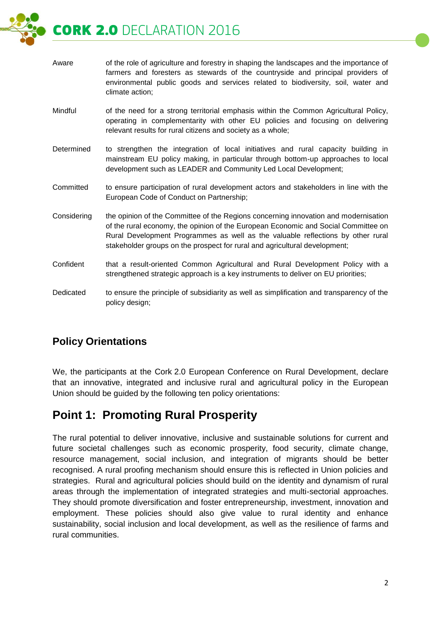CORK 2.0 DECLARATION 2016

| Aware       | of the role of agriculture and forestry in shaping the landscapes and the importance of<br>farmers and foresters as stewards of the countryside and principal providers of<br>environmental public goods and services related to biodiversity, soil, water and<br>climate action;                                                          |
|-------------|--------------------------------------------------------------------------------------------------------------------------------------------------------------------------------------------------------------------------------------------------------------------------------------------------------------------------------------------|
| Mindful     | of the need for a strong territorial emphasis within the Common Agricultural Policy,<br>operating in complementarity with other EU policies and focusing on delivering<br>relevant results for rural citizens and society as a whole;                                                                                                      |
| Determined  | to strengthen the integration of local initiatives and rural capacity building in<br>mainstream EU policy making, in particular through bottom-up approaches to local<br>development such as LEADER and Community Led Local Development;                                                                                                   |
| Committed   | to ensure participation of rural development actors and stakeholders in line with the<br>European Code of Conduct on Partnership;                                                                                                                                                                                                          |
| Considering | the opinion of the Committee of the Regions concerning innovation and modernisation<br>of the rural economy, the opinion of the European Economic and Social Committee on<br>Rural Development Programmes as well as the valuable reflections by other rural<br>stakeholder groups on the prospect for rural and agricultural development; |
| Confident   | that a result-oriented Common Agricultural and Rural Development Policy with a<br>strengthened strategic approach is a key instruments to deliver on EU priorities;                                                                                                                                                                        |
| Dedicated   | to ensure the principle of subsidiarity as well as simplification and transparency of the<br>policy design;                                                                                                                                                                                                                                |

#### **Policy Orientations**

We, the participants at the Cork 2.0 European Conference on Rural Development, declare that an innovative, integrated and inclusive rural and agricultural policy in the European Union should be guided by the following ten policy orientations:

# **Point 1: Promoting Rural Prosperity**

The rural potential to deliver innovative, inclusive and sustainable solutions for current and future societal challenges such as economic prosperity, food security, climate change, resource management, social inclusion, and integration of migrants should be better recognised. A rural proofing mechanism should ensure this is reflected in Union policies and strategies. Rural and agricultural policies should build on the identity and dynamism of rural areas through the implementation of integrated strategies and multi-sectorial approaches. They should promote diversification and foster entrepreneurship, investment, innovation and employment. These policies should also give value to rural identity and enhance sustainability, social inclusion and local development, as well as the resilience of farms and rural communities.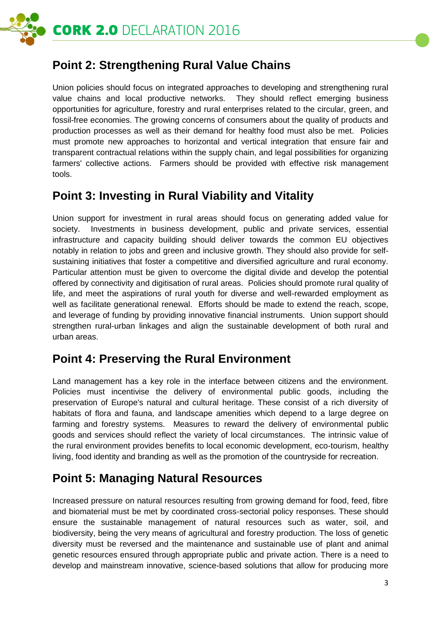

# **Point 2: Strengthening Rural Value Chains**

Union policies should focus on integrated approaches to developing and strengthening rural value chains and local productive networks. They should reflect emerging business opportunities for agriculture, forestry and rural enterprises related to the circular, green, and fossil-free economies. The growing concerns of consumers about the quality of products and production processes as well as their demand for healthy food must also be met. Policies must promote new approaches to horizontal and vertical integration that ensure fair and transparent contractual relations within the supply chain, and legal possibilities for organizing farmers' collective actions. Farmers should be provided with effective risk management tools.

### **Point 3: Investing in Rural Viability and Vitality**

Union support for investment in rural areas should focus on generating added value for society. Investments in business development, public and private services, essential infrastructure and capacity building should deliver towards the common EU objectives notably in relation to jobs and green and inclusive growth. They should also provide for selfsustaining initiatives that foster a competitive and diversified agriculture and rural economy. Particular attention must be given to overcome the digital divide and develop the potential offered by connectivity and digitisation of rural areas. Policies should promote rural quality of life, and meet the aspirations of rural youth for diverse and well-rewarded employment as well as facilitate generational renewal. Efforts should be made to extend the reach, scope, and leverage of funding by providing innovative financial instruments. Union support should strengthen rural-urban linkages and align the sustainable development of both rural and urban areas.

### **Point 4: Preserving the Rural Environment**

Land management has a key role in the interface between citizens and the environment. Policies must incentivise the delivery of environmental public goods, including the preservation of Europe's natural and cultural heritage. These consist of a rich diversity of habitats of flora and fauna, and landscape amenities which depend to a large degree on farming and forestry systems. Measures to reward the delivery of environmental public goods and services should reflect the variety of local circumstances. The intrinsic value of the rural environment provides benefits to local economic development, eco-tourism, healthy living, food identity and branding as well as the promotion of the countryside for recreation.

# **Point 5: Managing Natural Resources**

Increased pressure on natural resources resulting from growing demand for food, feed, fibre and biomaterial must be met by coordinated cross-sectorial policy responses. These should ensure the sustainable management of natural resources such as water, soil, and biodiversity, being the very means of agricultural and forestry production. The loss of genetic diversity must be reversed and the maintenance and sustainable use of plant and animal genetic resources ensured through appropriate public and private action. There is a need to develop and mainstream innovative, science-based solutions that allow for producing more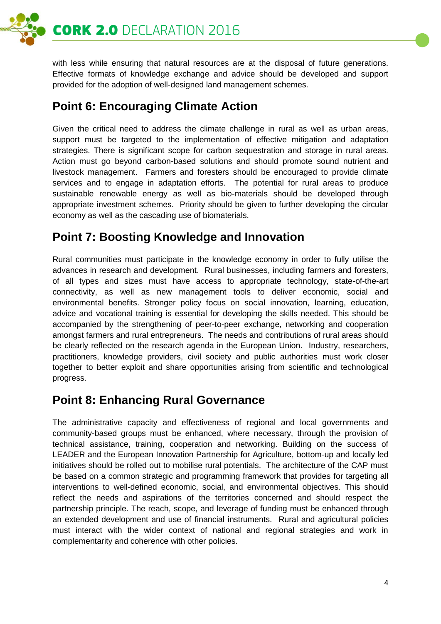

with less while ensuring that natural resources are at the disposal of future generations. Effective formats of knowledge exchange and advice should be developed and support provided for the adoption of well-designed land management schemes.

# **Point 6: Encouraging Climate Action**

Given the critical need to address the climate challenge in rural as well as urban areas, support must be targeted to the implementation of effective mitigation and adaptation strategies. There is significant scope for carbon sequestration and storage in rural areas. Action must go beyond carbon-based solutions and should promote sound nutrient and livestock management. Farmers and foresters should be encouraged to provide climate services and to engage in adaptation efforts. The potential for rural areas to produce sustainable renewable energy as well as bio-materials should be developed through appropriate investment schemes. Priority should be given to further developing the circular economy as well as the cascading use of biomaterials.

## **Point 7: Boosting Knowledge and Innovation**

Rural communities must participate in the knowledge economy in order to fully utilise the advances in research and development. Rural businesses, including farmers and foresters, of all types and sizes must have access to appropriate technology, state-of-the-art connectivity, as well as new management tools to deliver economic, social and environmental benefits. Stronger policy focus on social innovation, learning, education, advice and vocational training is essential for developing the skills needed. This should be accompanied by the strengthening of peer-to-peer exchange, networking and cooperation amongst farmers and rural entrepreneurs. The needs and contributions of rural areas should be clearly reflected on the research agenda in the European Union. Industry, researchers, practitioners, knowledge providers, civil society and public authorities must work closer together to better exploit and share opportunities arising from scientific and technological progress.

### **Point 8: Enhancing Rural Governance**

The administrative capacity and effectiveness of regional and local governments and community-based groups must be enhanced, where necessary, through the provision of technical assistance, training, cooperation and networking. Building on the success of LEADER and the European Innovation Partnership for Agriculture, bottom-up and locally led initiatives should be rolled out to mobilise rural potentials. The architecture of the CAP must be based on a common strategic and programming framework that provides for targeting all interventions to well-defined economic, social, and environmental objectives. This should reflect the needs and aspirations of the territories concerned and should respect the partnership principle. The reach, scope, and leverage of funding must be enhanced through an extended development and use of financial instruments. Rural and agricultural policies must interact with the wider context of national and regional strategies and work in complementarity and coherence with other policies.